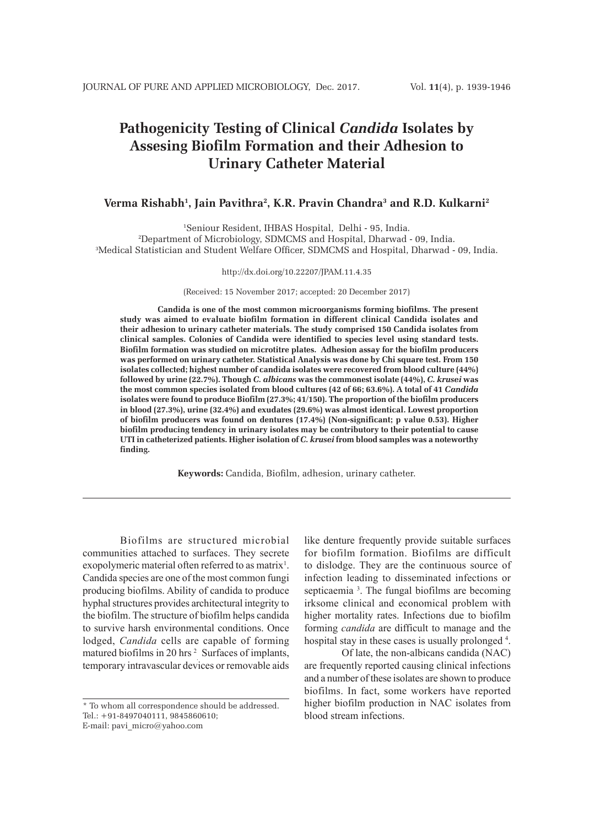# **Pathogenicity Testing of Clinical** *Candida* **Isolates by Assesing Biofilm Formation and their Adhesion to Urinary Catheter Material**

# **Verma Rishabh1 , Jain Pavithra2 , K.R. Pravin Chandra3 and R.D. Kulkarni2**

1 Seniour Resident, IHBAS Hospital, Delhi - 95, India. 2 Department of Microbiology, SDMCMS and Hospital, Dharwad - 09, India. 3 Medical Statistician and Student Welfare Officer, SDMCMS and Hospital, Dharwad - 09, India.

#### http://dx.doi.org/10.22207/JPAM.11.4.35

(Received: 15 November 2017; accepted: 20 December 2017)

**Candida is one of the most common microorganisms forming biofilms. The present study was aimed to evaluate biofilm formation in different clinical Candida isolates and their adhesion to urinary catheter materials. The study comprised 150 Candida isolates from clinical samples. Colonies of Candida were identified to species level using standard tests. Biofilm formation was studied on microtitre plates. Adhesion assay for the biofilm producers was performed on urinary catheter. Statistical Analysis was done by Chi square test. From 150 isolates collected; highest number of candida isolates were recovered from blood culture (44%) followed by urine (22.7%). Though** *C. albicans* **was the commonest isolate (44%),** *C. krusei* **was the most common species isolated from blood cultures (42 of 66; 63.6%). A total of 41** *Candida* **isolates were found to produce Biofilm (27.3%; 41/150). The proportion of the biofilm producers in blood (27.3%), urine (32.4%) and exudates (29.6%) was almost identical. Lowest proportion of biofilm producers was found on dentures (17.4%) (Non-significant; p value 0.53). Higher biofilm producing tendency in urinary isolates may be contributory to their potential to cause UTI in catheterized patients. Higher isolation of** *C. krusei* **from blood samples was a noteworthy finding.**

**Keywords:** Candida, Biofilm, adhesion, urinary catheter.

Biofilms are structured microbial communities attached to surfaces. They secrete exopolymeric material often referred to as matrix<sup>1</sup>. Candida species are one of the most common fungi producing biofilms. Ability of candida to produce hyphal structures provides architectural integrity to the biofilm. The structure of biofilm helps candida to survive harsh environmental conditions. Once lodged, *Candida* cells are capable of forming matured biofilms in 20 hrs<sup>2</sup> Surfaces of implants, . temporary intravascular devices or removable aids

E-mail: pavi\_micro@yahoo.com

like denture frequently provide suitable surfaces for biofilm formation. Biofilms are difficult to dislodge. They are the continuous source of infection leading to disseminated infections or septicaemia<sup>3</sup>. The fungal biofilms are becoming irksome clinical and economical problem with higher mortality rates. Infections due to biofilm forming *candida* are difficult to manage and the hospital stay in these cases is usually prolonged<sup>4</sup>.

Of late, the non-albicans candida (NAC) are frequently reported causing clinical infections and a number of these isolates are shown to produce biofilms. In fact, some workers have reported higher biofilm production in NAC isolates from blood stream infections.

<sup>\*</sup> To whom all correspondence should be addressed. Tel.: +91-8497040111, 9845860610;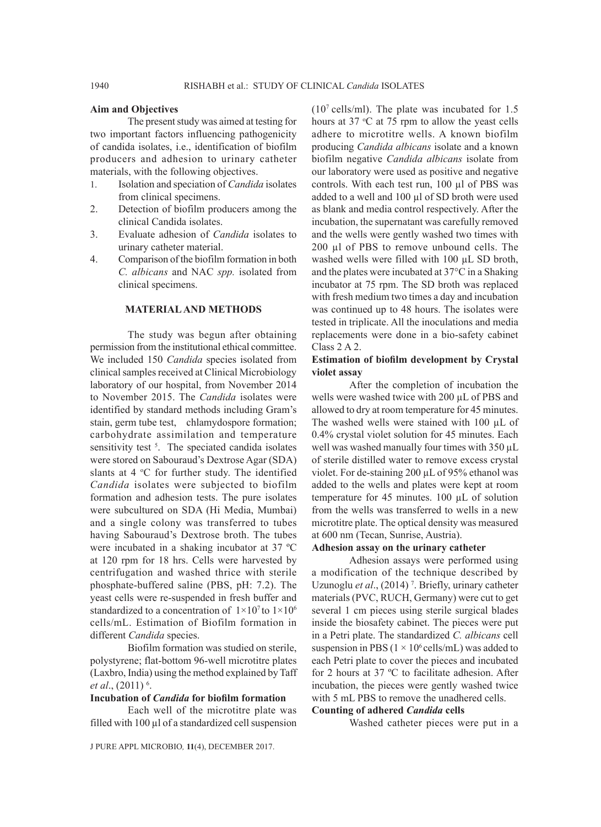#### **Aim and Objectives**

The present study was aimed at testing for two important factors influencing pathogenicity of candida isolates, i.e., identification of biofilm producers and adhesion to urinary catheter materials, with the following objectives.

- 1. Isolation and speciation of *Candida* isolates from clinical specimens.
- 2. Detection of biofilm producers among the clinical Candida isolates.
- 3. Evaluate adhesion of *Candida* isolates to urinary catheter material.
- 4. Comparison of the biofilm formation in both *C. albicans* and NAC *spp.* isolated from clinical specimens.

## **MATERIAL AND METHODS**

The study was begun after obtaining permission from the institutional ethical committee. We included 150 *Candida* species isolated from clinical samples received at Clinical Microbiology laboratory of our hospital, from November 2014 to November 2015. The *Candida* isolates were identified by standard methods including Gram's stain, germ tube test, chlamydospore formation; carbohydrate assimilation and temperature sensitivity test<sup>5</sup>. The speciated candida isolates were stored on Sabouraud's Dextrose Agar (SDA) slants at  $4 \, \degree$ C for further study. The identified *Candida* isolates were subjected to biofilm formation and adhesion tests. The pure isolates were subcultured on SDA (Hi Media, Mumbai) and a single colony was transferred to tubes having Sabouraud's Dextrose broth. The tubes were incubated in a shaking incubator at 37 ºC at 120 rpm for 18 hrs. Cells were harvested by centrifugation and washed thrice with sterile phosphate-buffered saline (PBS, pH: 7.2). The yeast cells were re-suspended in fresh buffer and standardized to a concentration of  $1 \times 10^7$  to  $1 \times 10^6$ cells/mL. Estimation of Biofilm formation in different *Candida* species.

Biofilm formation was studied on sterile, polystyrene; flat-bottom 96-well microtitre plates (Laxbro, India) using the method explained by Taff *et al.*, (2011) <sup>6</sup>.

#### **Incubation of** *Candida* **for biofilm formation**

Each well of the microtitre plate was filled with 100 µl of a standardized cell suspension

 $(10<sup>7</sup>$  cells/ml). The plate was incubated for 1.5 hours at  $37 \text{ °C}$  at  $75 \text{ rpm}$  to allow the yeast cells adhere to microtitre wells. A known biofilm producing *Candida albicans* isolate and a known biofilm negative *Candida albicans* isolate from our laboratory were used as positive and negative controls. With each test run, 100 µl of PBS was added to a well and 100 µl of SD broth were used as blank and media control respectively. After the incubation, the supernatant was carefully removed and the wells were gently washed two times with 200 µl of PBS to remove unbound cells. The washed wells were filled with 100  $\mu$ L SD broth, and the plates were incubated at 37°C in a Shaking incubator at 75 rpm. The SD broth was replaced with fresh medium two times a day and incubation was continued up to 48 hours. The isolates were tested in triplicate. All the inoculations and media replacements were done in a bio-safety cabinet Class 2 A 2.

## **Estimation of biofilm development by Crystal violet assay**

After the completion of incubation the wells were washed twice with 200  $\mu$ L of PBS and allowed to dry at room temperature for 45 minutes. The washed wells were stained with 100 µL of 0.4% crystal violet solution for 45 minutes. Each well was washed manually four times with 350  $\mu$ L of sterile distilled water to remove excess crystal violet. For de-staining 200 µL of 95% ethanol was added to the wells and plates were kept at room temperature for 45 minutes. 100 µL of solution from the wells was transferred to wells in a new microtitre plate. The optical density was measured at 600 nm (Tecan, Sunrise, Austria).

#### **Adhesion assay on the urinary catheter**

Adhesion assays were performed using a modification of the technique described by Uzunoglu *et al.*, (2014)<sup>7</sup>. Briefly, urinary catheter materials (PVC, RUCH, Germany) were cut to get several 1 cm pieces using sterile surgical blades inside the biosafety cabinet. The pieces were put in a Petri plate. The standardized *C. albicans* cell suspension in PBS ( $1 \times 10^6$  cells/mL) was added to each Petri plate to cover the pieces and incubated for 2 hours at 37 ºC to facilitate adhesion. After incubation, the pieces were gently washed twice with 5 mL PBS to remove the unadhered cells.

# **Counting of adhered** *Candida* **cells**

Washed catheter pieces were put in a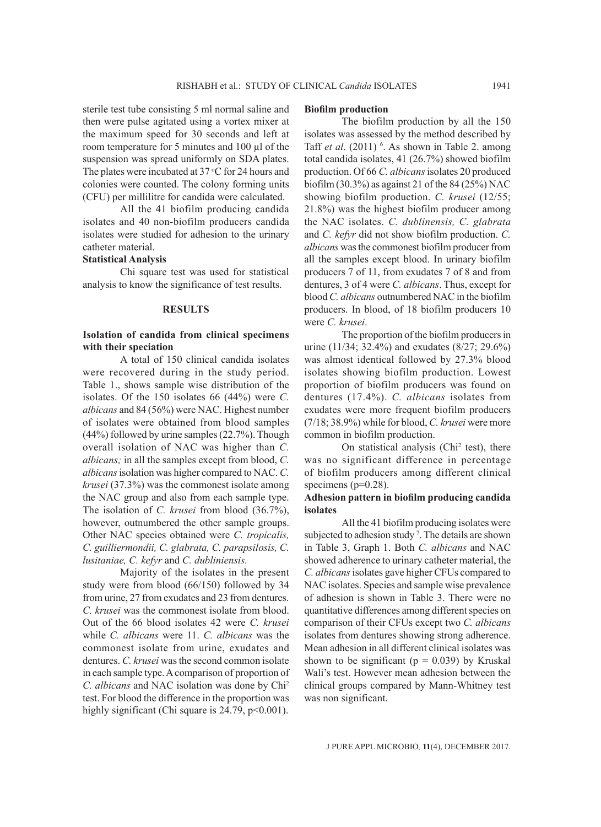sterile test tube consisting 5 ml normal saline and then were pulse agitated using a vortex mixer at the maximum speed for 30 seconds and left at room temperature for 5 minutes and 100 µl of the suspension was spread uniformly on SDA plates. The plates were incubated at  $37^{\circ}$ C for 24 hours and colonies were counted. The colony forming units (CFU) per millilitre for candida were calculated.

All the 41 biofilm producing candida isolates and 40 non-biofilm producers candida isolates were studied for adhesion to the urinary catheter material.

#### **Statistical Analysis**

Chi square test was used for statistical analysis to know the significance of test results.

#### **RESULTS**

# **Isolation of candida from clinical specimens with their speciation**

A total of 150 clinical candida isolates were recovered during in the study period. Table 1., shows sample wise distribution of the isolates. Of the 150 isolates 66 (44%) were *C. albicans* and 84 (56%) were NAC. Highest number of isolates were obtained from blood samples (44%) followed by urine samples (22.7%). Though overall isolation of NAC was higher than *C. albicans;* in all the samples except from blood, *C. albicans* isolation was higher compared to NAC. *C. krusei* (37.3%) was the commonest isolate among the NAC group and also from each sample type. The isolation of *C. krusei* from blood (36.7%), however, outnumbered the other sample groups. Other NAC species obtained were *C. tropicalis, C. guilliermondii, C. glabrata, C. parapsilosis, C. lusitaniae, C. kefyr* and *C. dubliniensis.*

Majority of the isolates in the present study were from blood (66/150) followed by 34 from urine, 27 from exudates and 23 from dentures. *C. krusei* was the commonest isolate from blood. Out of the 66 blood isolates 42 were *C. krusei* while *C. albicans* were 11. *C. albicans* was the commonest isolate from urine, exudates and dentures. *C. krusei* was the second common isolate in each sample type. A comparison of proportion of *C. albicans* and NAC isolation was done by Chi2 test. For blood the difference in the proportion was highly significant (Chi square is 24.79, p<0.001).

#### **Biofilm production**

The biofilm production by all the 150 isolates was assessed by the method described by Taff *et al.* (2011) <sup>6</sup>. As shown in Table 2. among total candida isolates, 41 (26.7%) showed biofilm production. Of 66 *C. albicans* isolates 20 produced biofilm (30.3%) as against 21 of the 84 (25%) NAC showing biofilm production. *C. krusei* (12/55; 21.8%) was the highest biofilm producer among the NAC isolates. *C. dublinensis, C. glabrata* and *C. kefyr* did not show biofilm production. *C. albicans* was the commonest biofilm producer from all the samples except blood. In urinary biofilm producers 7 of 11, from exudates 7 of 8 and from dentures, 3 of 4 were *C. albicans*. Thus, except for blood *C. albicans* outnumbered NAC in the biofilm producers. In blood, of 18 biofilm producers 10 were *C. krusei*.

The proportion of the biofilm producers in urine (11/34; 32.4%) and exudates (8/27; 29.6%) was almost identical followed by 27.3% blood isolates showing biofilm production. Lowest proportion of biofilm producers was found on dentures (17.4%). *C. albicans* isolates from exudates were more frequent biofilm producers (7/18; 38.9%) while for blood, *C. krusei* were more common in biofilm production.

On statistical analysis (Chi<sup>2</sup> test), there was no significant difference in percentage of biofilm producers among different clinical specimens ( $p=0.28$ ).

#### **Adhesion pattern in biofilm producing candida isolates**

All the 41 biofilm producing isolates were subjected to adhesion study<sup>7</sup>. The details are shown in Table 3, Graph 1. Both *C. albicans* and NAC showed adherence to urinary catheter material, the *C. albicans* isolates gave higher CFUs compared to NAC isolates. Species and sample wise prevalence of adhesion is shown in Table 3. There were no quantitative differences among different species on comparison of their CFUs except two *C. albicans* isolates from dentures showing strong adherence. Mean adhesion in all different clinical isolates was shown to be significant ( $p = 0.039$ ) by Kruskal Wali's test. However mean adhesion between the clinical groups compared by Mann-Whitney test was non significant.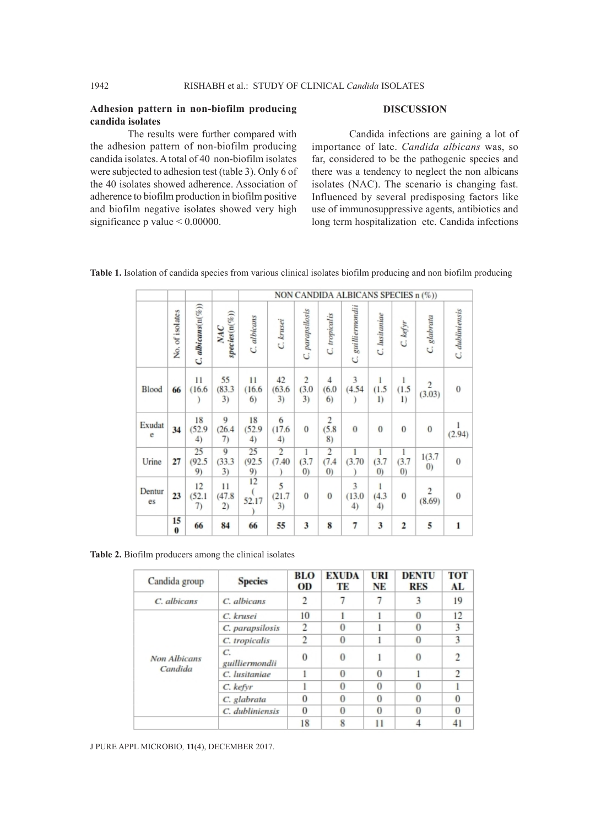## **Adhesion pattern in non-biofilm producing candida isolates**

## **DISCUSSION**

The results were further compared with the adhesion pattern of non-biofilm producing candida isolates. A total of 40 non-biofilm isolates were subjected to adhesion test (table 3). Only 6 of the 40 isolates showed adherence. Association of adherence to biofilm production in biofilm positive and biofilm negative isolates showed very high significance p value <  $0.00000$ .

Candida infections are gaining a lot of importance of late. *Candida albicans* was, so far, considered to be the pathogenic species and there was a tendency to neglect the non albicans isolates (NAC). The scenario is changing fast. Influenced by several predisposing factors like use of immunosuppressive agents, antibiotics and long term hospitalization etc. Candida infections

**Table 1.** Isolation of candida species from various clinical isolates biofilm producing and non biofilm producing

|              |                 |                         |                                |                         |                          |                               |                                              | NON CANDIDA ALBICANS SPECIES n (%)) |                                 |                   |                             |                 |
|--------------|-----------------|-------------------------|--------------------------------|-------------------------|--------------------------|-------------------------------|----------------------------------------------|-------------------------------------|---------------------------------|-------------------|-----------------------------|-----------------|
|              | No. of isolates | $C.$ albicans $(n(\%))$ | $species(n(\%))$<br><b>NAC</b> | C. albicans             | C. krusei                | C. parapsilosis               | C. tropicalis                                | C. guilliermondii                   | C. lusitaniae                   | C. kefyr          | C. glabrata                 | C. dubliniensis |
| <b>Blood</b> | 66              | 11<br>(16.6)            | 55<br>(83.3)<br>3)             | 11<br>(16.6)<br>6)      | 42<br>(63.6)<br>3)       | $\overline{c}$<br>(3.0)<br>3) | 4<br>(6.0)<br>6)                             | 3<br>(4.54)                         | 1<br>(1.5)<br>1)                | 1<br>(1.5)<br>1)  | $\frac{2}{(3.03)}$          | $\bf{0}$        |
| Exudat<br>e  | 34              | 18<br>(52.9)<br>4)      | 9<br>(26.4)<br>7)              | 18<br>(52.9)<br>$^{4)}$ | 6<br>(17.6)<br>4)        | $\bf{0}$                      | 2<br>(5.8)<br>8)                             | $\bf{0}$                            | $\overline{0}$                  | $\theta$          | $\mathbf{0}$                | (2.94)          |
| Urine        | 27              | 25<br>(92.5)<br>9)      | 9<br>(33.3)<br>3)              | 25<br>(92.5)<br>9)      | $\overline{2}$<br>(7.40) | 1<br>(3.7)<br>(0)             | $\overline{2}$<br>(7.4)<br>$\left( 0\right)$ | (3.70)                              | 1<br>(3.7)<br>$\left( 0\right)$ | 1<br>(3.7)<br>(0) | 1(3.7)<br>$\left( 0\right)$ | $\bf{0}$        |
| Dentur<br>es | 23              | 12<br>(52.1)<br>7)      | 11<br>(47.8)<br>2)             | 12<br>52.17             | 5<br>(21.7)<br>3)        | $\mathbf{0}$                  | $\bf{0}$                                     | 3<br>(13.0)<br>4)                   | 1<br>(4.3)<br>4)                | $\theta$          | 2<br>(8.69)                 | $\bf{0}$        |
|              | 15<br>$\bf{0}$  | 66                      | 84                             | 66                      | 55                       | 3                             | 8                                            | 7                                   | 3                               | 2                 | 5                           | $\mathbf{1}$    |

**Table 2.** Biofilm producers among the clinical isolates

| Candida group | <b>Species</b>                     | <b>BLO</b><br>OD | <b>EXUDA</b><br>TЕ | URI<br>NE | <b>DENTU</b><br><b>RES</b> | TOT<br>AL     |
|---------------|------------------------------------|------------------|--------------------|-----------|----------------------------|---------------|
| C. albicans   | C. albicans                        | 2                |                    |           | 3                          | 19            |
|               | C. krusei                          | 10               |                    |           | $\theta$                   | 12            |
|               | C. parapsilosis                    | 2                | $\Omega$           |           | $\Omega$                   | 3             |
|               | C. tropicalis                      |                  | $\Omega$           |           | $\Omega$                   | 3             |
| Non Albicans  | $\overline{C}$ .<br>guilliermondii | $\Omega$         | $\Omega$           |           | $\theta$                   |               |
| Candida       | C. lusitaniae                      |                  | $\Omega$           | $\Omega$  |                            | $\mathcal{D}$ |
|               | C. kefyr                           |                  | $\Omega$           | $\Omega$  | $\Omega$                   |               |
|               | C. glabrata                        |                  | $\Omega$           | $\Omega$  | $\theta$                   | $\Omega$      |
|               | C. dubliniensis                    | $\Omega$         | $\Omega$           | $\Omega$  | $\Omega$                   | $\Omega$      |
|               |                                    | 18               | 8                  |           |                            |               |

J PURE APPL MICROBIO*,* **11**(4), DECEMBER 2017.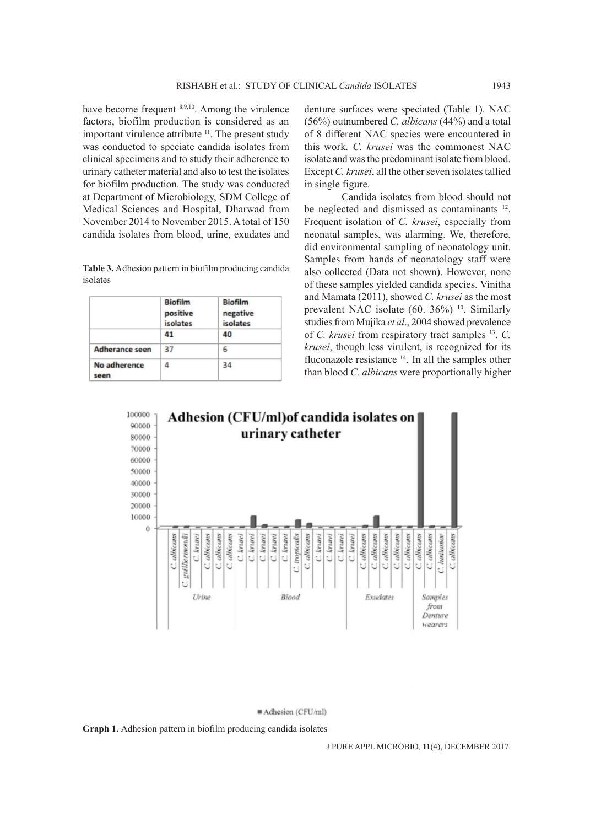have become frequent <sup>8,9,10</sup>. Among the virulence factors, biofilm production is considered as an important virulence attribute <sup>11</sup>. The present study was conducted to speciate candida isolates from clinical specimens and to study their adherence to urinary catheter material and also to test the isolates for biofilm production. The study was conducted at Department of Microbiology, SDM College of Medical Sciences and Hospital, Dharwad from November 2014 to November 2015. A total of 150 candida isolates from blood, urine, exudates and

**Table 3.** Adhesion pattern in biofilm producing candida isolates

|                       | <b>Biofilm</b><br>positive<br>isolates<br>41 | <b>Biofilm</b><br>negative<br>isolates<br>40 |
|-----------------------|----------------------------------------------|----------------------------------------------|
| <b>Adherance seen</b> | 37                                           | 6                                            |
| No adherence<br>seen  | Λ                                            | 34                                           |

denture surfaces were speciated (Table 1). NAC (56%) outnumbered *C. albicans* (44%) and a total of 8 different NAC species were encountered in this work*. C. krusei* was the commonest NAC isolate and was the predominant isolate from blood. Except *C. krusei*, all the other seven isolates tallied in single figure.

Candida isolates from blood should not be neglected and dismissed as contaminants <sup>12</sup>. Frequent isolation of *C. krusei*, especially from neonatal samples, was alarming. We, therefore, did environmental sampling of neonatology unit. Samples from hands of neonatology staff were also collected (Data not shown). However, none of these samples yielded candida species. Vinitha and Mamata (2011), showed *C. krusei* as the most prevalent NAC isolate (60. 36%) <sup>10</sup>. Similarly studies from Mujika *et al*., 2004 showed prevalence of *C. krusei* from respiratory tract samples 13. *C. krusei*, though less virulent, is recognized for its fluconazole resistance  $14$ . In all the samples other than blood *C. albicans* were proportionally higher



Adhesion (CFU/ml)

**Graph 1.** Adhesion pattern in biofilm producing candida isolates

J PURE APPL MICROBIO*,* **11**(4), DECEMBER 2017.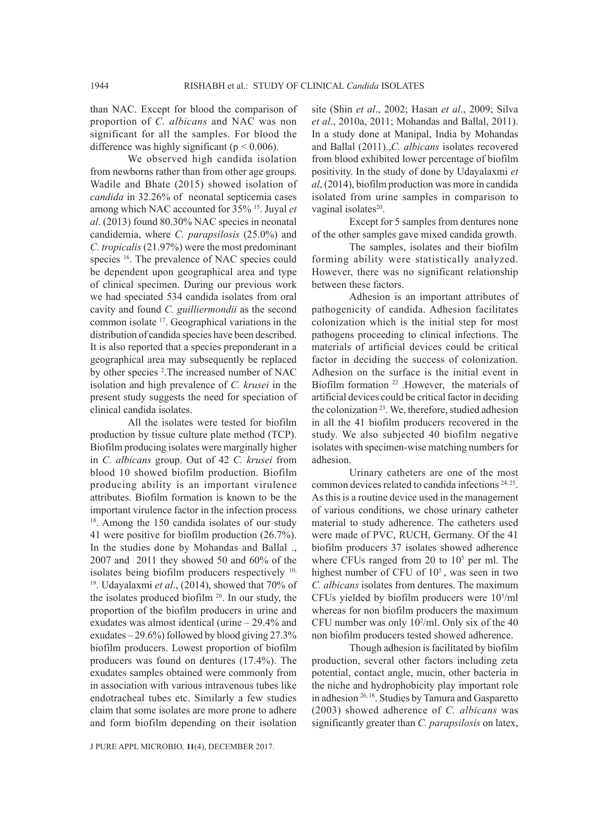than NAC. Except for blood the comparison of proportion of *C. albicans* and NAC was non significant for all the samples. For blood the difference was highly significant ( $p < 0.006$ ).

We observed high candida isolation from newborns rather than from other age groups. Wadile and Bhate (2015) showed isolation of *candida* in 32.26% of neonatal septicemia cases among which NAC accounted for 35% 15. Juyal *et al*. (2013) found 80.30% NAC species in neonatal candidemia, where *C. parapsilosis* (25.0%) and *C. tropicalis* (21.97%) were the most predominant species <sup>16</sup>. The prevalence of NAC species could be dependent upon geographical area and type of clinical specimen. During our previous work we had speciated 534 candida isolates from oral cavity and found *C. guilliermondii* as the second common isolate 17. Geographical variations in the distribution of candida species have been described. It is also reported that a species preponderant in a geographical area may subsequently be replaced by other species <sup>2</sup>. The increased number of NAC isolation and high prevalence of *C. krusei* in the present study suggests the need for speciation of clinical candida isolates.

All the isolates were tested for biofilm production by tissue culture plate method (TCP). Biofilm producing isolates were marginally higher in *C. albicans* group. Out of 42 *C. krusei* from blood 10 showed biofilm production. Biofilm producing ability is an important virulence attributes. Biofilm formation is known to be the important virulence factor in the infection process <sup>18</sup>. Among the 150 candida isolates of our study 41 were positive for biofilm production (26.7%). In the studies done by Mohandas and Ballal ., 2007 and 2011 they showed 50 and 60% of the isolates being biofilm producers respectively <sup>10,</sup> 19. Udayalaxmi *et al*., (2014), showed that 70% of the isolates produced biofilm  $20$ . In our study, the proportion of the biofilm producers in urine and exudates was almost identical (urine – 29.4% and exudates – 29.6%) followed by blood giving 27.3% biofilm producers. Lowest proportion of biofilm producers was found on dentures (17.4%). The exudates samples obtained were commonly from in association with various intravenous tubes like endotracheal tubes etc. Similarly a few studies claim that some isolates are more prone to adhere and form biofilm depending on their isolation

site (Shin *et al*., 2002; Hasan *et al*., 2009; Silva *et al*., 2010a, 2011; Mohandas and Ballal, 2011). In a study done at Manipal, India by Mohandas and Ballal (2011).,*C. albicans* isolates recovered from blood exhibited lower percentage of biofilm positivity. In the study of done by Udayalaxmi *et al*, (2014), biofilm production was more in candida isolated from urine samples in comparison to vaginal isolates $20$ .

Except for 5 samples from dentures none of the other samples gave mixed candida growth.

The samples, isolates and their biofilm forming ability were statistically analyzed. However, there was no significant relationship between these factors.

Adhesion is an important attributes of pathogenicity of candida. Adhesion facilitates colonization which is the initial step for most pathogens proceeding to clinical infections. The materials of artificial devices could be critical factor in deciding the success of colonization. Adhesion on the surface is the initial event in Biofilm formation 22 .However, the materials of artificial devices could be critical factor in deciding the colonization 23. We, therefore, studied adhesion in all the 41 biofilm producers recovered in the study. We also subjected 40 biofilm negative isolates with specimen-wise matching numbers for adhesion.

Urinary catheters are one of the most common devices related to candida infections 24, 25. As this is a routine device used in the management of various conditions, we chose urinary catheter material to study adherence. The catheters used were made of PVC, RUCH, Germany. Of the 41 biofilm producers 37 isolates showed adherence where CFUs ranged from 20 to  $10<sup>5</sup>$  per ml. The highest number of CFU of  $10<sup>5</sup>$ , was seen in two *C. albicans* isolates from dentures. The maximum CFUs yielded by biofilm producers were 105 /ml whereas for non biofilm producers the maximum CFU number was only  $10<sup>2</sup>/ml$ . Only six of the 40 non biofilm producers tested showed adherence.

Though adhesion is facilitated by biofilm production, several other factors including zeta potential, contact angle, mucin, other bacteria in the niche and hydrophobicity play important role in adhesion 26, 18. Studies by Tamura and Gasparetto (2003) showed adherence of *C. albicans* was significantly greater than *C. parapsilosis* on latex,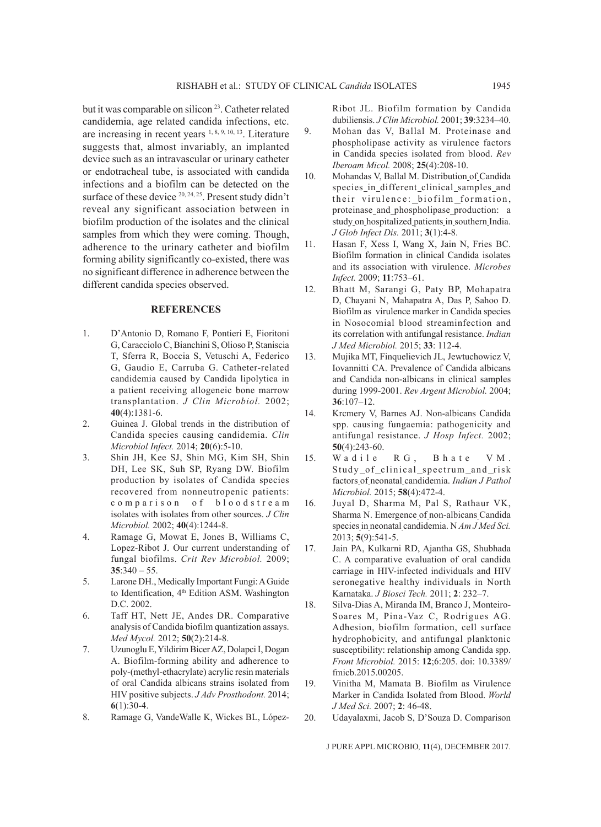but it was comparable on silicon<sup>23</sup>. Catheter related candidemia, age related candida infections, etc. are increasing in recent years 1, 8, 9, 10, 13. Literature suggests that, almost invariably, an implanted device such as an intravascular or urinary catheter or endotracheal tube, is associated with candida infections and a biofilm can be detected on the surface of these device <sup>20, 24, 25</sup>. Present study didn't reveal any significant association between in biofilm production of the isolates and the clinical samples from which they were coming. Though, adherence to the urinary catheter and biofilm forming ability significantly co-existed, there was no significant difference in adherence between the different candida species observed.

# **REFERENCES**

- 1. D'Antonio D, Romano F, Pontieri E, Fioritoni G, Caracciolo C, Bianchini S, Olioso P, Staniscia T, Sferra R, Boccia S, Vetuschi A, Federico G, Gaudio E, Carruba G. Catheter-related candidemia caused by Candida lipolytica in a patient receiving allogeneic bone marrow transplantation. *J Clin Microbiol.* 2002; **40**(4):1381-6.
- 2. Guinea J. Global trends in the distribution of Candida species causing candidemia. *Clin Microbiol Infect.* 2014; **20**(6):5-10.
- 3. Shin JH, Kee SJ, Shin MG, Kim SH, Shin DH, Lee SK, Suh SP, Ryang DW. Biofilm production by isolates of Candida species recovered from nonneutropenic patients: c o m p a r i s o n o f b l o o d s t r e a m isolates with isolates from other sources. *J Clin Microbiol.* 2002; **40**(4):1244-8.
- 4. Ramage G, Mowat E, Jones B, Williams C, Lopez-Ribot J. Our current understanding of fungal biofilms. *Crit Rev Microbiol.* 2009; **35**:340 – 55.
- 5. Larone DH., Medically Important Fungi: A Guide to Identification, 4<sup>th</sup> Edition ASM. Washington D.C. 2002.
- 6. Taff HT, Nett JE, Andes DR. Comparative analysis of Candida biofilm quantization assays. *Med Mycol.* 2012; **50**(2):214-8.
- 7. Uzunoglu E,Yildirim Bicer AZ, Dolapci I, Dogan A. Biofilm-forming ability and adherence to poly-(methyl-ethacrylate) acrylic resin materials of oral Candida albicans strains isolated from HIV positive subjects. *J Adv Prosthodont.* 2014; **6**(1):30-4.
- 8. Ramage G, VandeWalle K, Wickes BL, López-

Ribot JL. Biofilm formation by Candida dubiliensis. *J Clin Microbiol.* 2001; **39**:3234–40.

- 9. Mohan das V, Ballal M. Proteinase and phospholipase activity as virulence factors in Candida species isolated from blood. *Rev Iberoam Micol.* 2008; **25**(4):208-10.
- 10. Mohandas V, Ballal M. Distribution of Candida species in different clinical samples and their virulence: \_biofilm \_formation, proteinase and phospholipase production: a study on hospitalized patients in southern India. *J Glob Infect Dis.* 2011; **3**(1):4-8.
- 11. Hasan F, Xess I, Wang X, Jain N, Fries BC. Biofilm formation in clinical Candida isolates and its association with virulence. *Microbes Infect.* 2009; **11**:753–61.
- 12. Bhatt M, Sarangi G, Paty BP, Mohapatra D, Chayani N, Mahapatra A, Das P, Sahoo D. Biofilm as virulence marker in Candida species in Nosocomial blood streaminfection and its correlation with antifungal resistance. *Indian J Med Microbiol.* 2015; **33**: 112-4.
- 13. Mujika MT, Finquelievich JL, Jewtuchowicz V, Iovannitti CA. Prevalence of Candida albicans and Candida non-albicans in clinical samples during 1999-2001. *Rev Argent Microbiol.* 2004; **36**:107–12.
- 14. Krcmery V, Barnes AJ. Non-albicans Candida spp. causing fungaemia: pathogenicity and antifungal resistance. *J Hosp Infect.* 2002; **50**(4):243-60.
- 15. Wadile RG, Bhate VM. Study\_of\_clinical\_spectrum\_and\_risk factors of neonatal candidemia. *Indian J Pathol Microbiol.* 2015; **58**(4):472-4.
- 16. Juyal D, Sharma M, Pal S, Rathaur VK, Sharma N. Emergence of non-albicans Candida species in neonatal candidemia. N Am J Med Sci. 2013; **5**(9):541-5.
- 17. Jain PA, Kulkarni RD, Ajantha GS, Shubhada C. A comparative evaluation of oral candida carriage in HIV-infected individuals and HIV seronegative healthy individuals in North Karnataka. *J Biosci Tech.* 2011; **2**: 232–7.
- 18. Silva-Dias A, Miranda IM, Branco J, Monteiro-Soares M, Pina-Vaz C, Rodrigues AG. Adhesion, biofilm formation, cell surface hydrophobicity, and antifungal planktonic susceptibility: relationship among Candida spp. *Front Microbiol.* 2015: **12**;6:205. doi: 10.3389/ fmicb.2015.00205.
- 19. Vinitha M, Mamata B. Biofilm as Virulence Marker in Candida Isolated from Blood. *World J Med Sci.* 2007; **2**: 46-48.
- 20. Udayalaxmi, Jacob S, D'Souza D. Comparison

J PURE APPL MICROBIO*,* **11**(4), DECEMBER 2017.